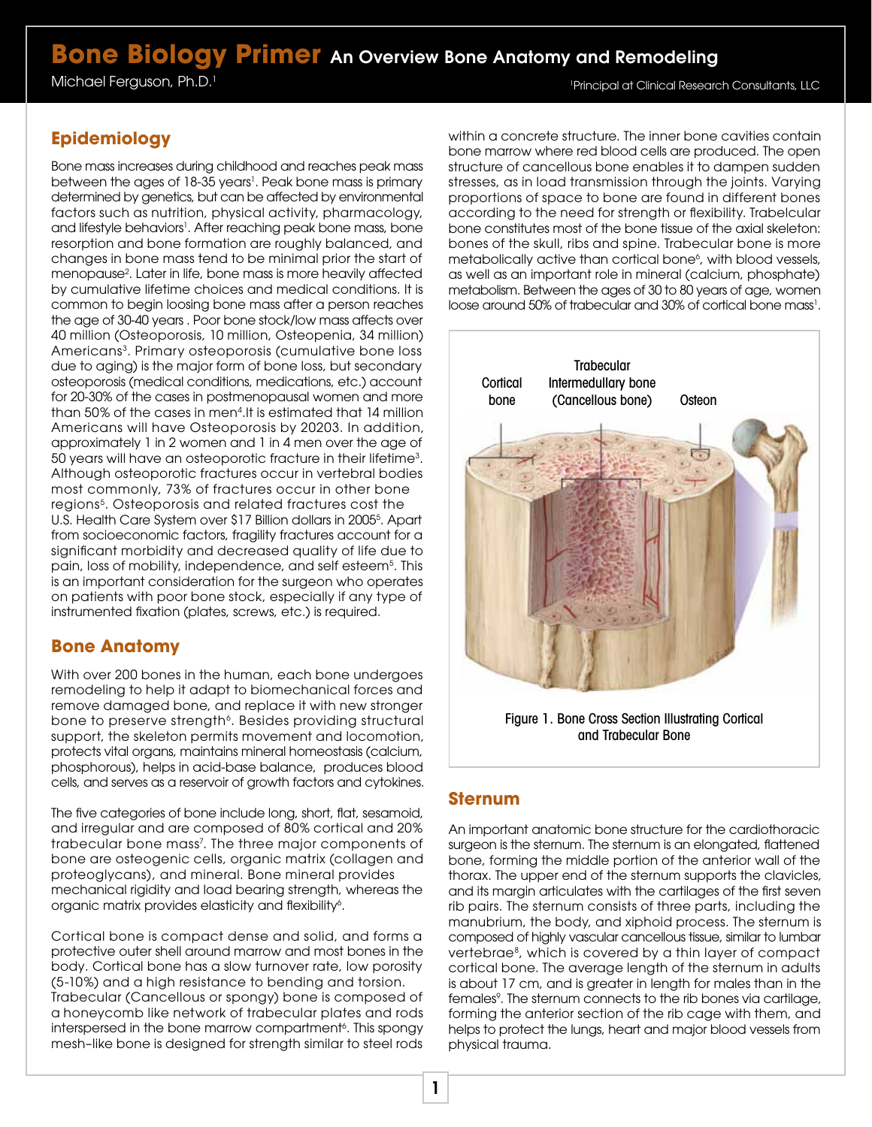# **Bone Biology Primer** An Overview Bone Anatomy and Remodeling

Michael Ferguson, Ph.D.<sup>1</sup>

1 Principal at Clinical Research Consultants, LLC

## **Epidemiology**

Bone mass increases during childhood and reaches peak mass between the ages of 18-35 years<sup>1</sup>. Peak bone mass is primary determined by genetics, but can be affected by environmental factors such as nutrition, physical activity, pharmacology, and lifestyle behaviors<sup>1</sup>. After reaching peak bone mass, bone resorption and bone formation are roughly balanced, and changes in bone mass tend to be minimal prior the start of menopause2 . Later in life, bone mass is more heavily affected by cumulative lifetime choices and medical conditions. It is common to begin loosing bone mass after a person reaches the age of 30-40 years . Poor bone stock/low mass affects over 40 million (Osteoporosis, 10 million, Osteopenia, 34 million) Americans<sup>3</sup>. Primary osteoporosis (cumulative bone loss due to aging) is the major form of bone loss, but secondary osteoporosis (medical conditions, medications, etc.) account for 20-30% of the cases in postmenopausal women and more than 50% of the cases in men4.It is estimated that 14 million Americans will have Osteoporosis by 20203. In addition, approximately 1 in 2 women and 1 in 4 men over the age of 50 years will have an osteoporotic fracture in their lifetime<sup>3</sup>. Although osteoporotic fractures occur in vertebral bodies most commonly, 73% of fractures occur in other bone regions<sup>5</sup>. Osteoporosis and related fractures cost the U.S. Health Care System over \$17 Billion dollars in 20055 . Apart from socioeconomic factors, fragility fractures account for a significant morbidity and decreased quality of life due to pain, loss of mobility, independence, and self esteem<sup>5</sup>. This is an important consideration for the surgeon who operates on patients with poor bone stock, especially if any type of instrumented fixation (plates, screws, etc.) is required.

#### **Bone Anatomy**

With over 200 bones in the human, each bone undergoes remodeling to help it adapt to biomechanical forces and remove damaged bone, and replace it with new stronger bone to preserve strength<sup>6</sup>. Besides providing structural support, the skeleton permits movement and locomotion, protects vital organs, maintains mineral homeostasis (calcium, phosphorous), helps in acid-base balance, produces blood cells, and serves as a reservoir of growth factors and cytokines.

The five categories of bone include long, short, flat, sesamoid, and irregular and are composed of 80% cortical and 20% trabecular bone mass<sup>7</sup>. The three major components of bone are osteogenic cells, organic matrix (collagen and proteoglycans), and mineral. Bone mineral provides mechanical rigidity and load bearing strength, whereas the organic matrix provides elasticity and flexibility<sup>6</sup>.

Cortical bone is compact dense and solid, and forms a protective outer shell around marrow and most bones in the body. Cortical bone has a slow turnover rate, low porosity (5-10%) and a high resistance to bending and torsion. Trabecular (Cancellous or spongy) bone is composed of a honeycomb like network of trabecular plates and rods interspersed in the bone marrow compartment<sup>6</sup>. This spongy mesh–like bone is designed for strength similar to steel rods

within a concrete structure. The inner bone cavities contain bone marrow where red blood cells are produced. The open structure of cancellous bone enables it to dampen sudden stresses, as in load transmission through the joints. Varying proportions of space to bone are found in different bones according to the need for strength or flexibility. Trabelcular bone constitutes most of the bone tissue of the axial skeleton: bones of the skull, ribs and spine. Trabecular bone is more metabolically active than cortical bone<sup>6</sup>, with blood vessels, as well as an important role in mineral (calcium, phosphate) metabolism. Between the ages of 30 to 80 years of age, women loose around 50% of trabecular and 30% of cortical bone mass<sup>1</sup>.



Figure 1. Bone Cross Section Illustrating Cortical and Trabecular Bone

#### **Sternum**

An important anatomic bone structure for the cardiothoracic surgeon is the sternum. The sternum is an elongated, flattened bone, forming the middle portion of the anterior wall of the thorax. The upper end of the sternum supports the clavicles, and its margin articulates with the cartilages of the first seven rib pairs. The sternum consists of three parts, including the manubrium, the body, and xiphoid process. The sternum is composed of highly vascular cancellous tissue, similar to lumbar vertebrae8, which is covered by a thin layer of compact cortical bone. The average length of the sternum in adults is about 17 cm, and is greater in length for males than in the females<sup>9</sup>. The sternum connects to the rib bones via cartilage, forming the anterior section of the rib cage with them, and helps to protect the lungs, heart and major blood vessels from physical trauma.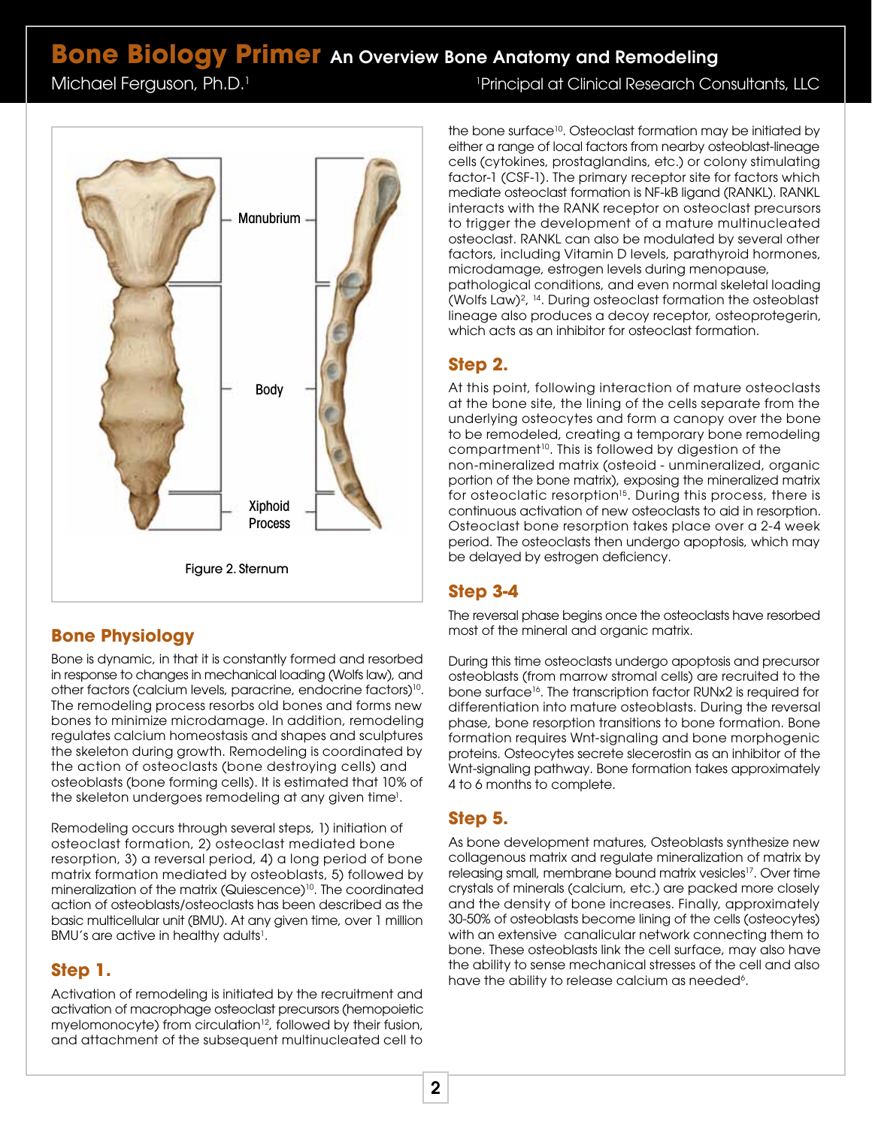## **Bone Biology Primer** An Overview Bone Anatomy and Remodeling

Michael Ferguson, Ph.D.<sup>1</sup>

Figure 2. Sternum **Manubrium** Body Xiphoid Process

## **Bone Physiology**

Bone is dynamic, in that it is constantly formed and resorbed in response to changes in mechanical loading (Wolfs law), and other factors (calcium levels, paracrine, endocrine factors)<sup>10</sup>. The remodeling process resorbs old bones and forms new bones to minimize microdamage. In addition, remodeling regulates calcium homeostasis and shapes and sculptures the skeleton during growth. Remodeling is coordinated by the action of osteoclasts (bone destroying cells) and osteoblasts (bone forming cells). It is estimated that 10% of the skeleton undergoes remodeling at any given time<sup>1</sup>.

Remodeling occurs through several steps, 1) initiation of osteoclast formation, 2) osteoclast mediated bone resorption, 3) a reversal period, 4) a long period of bone matrix formation mediated by osteoblasts, 5) followed by mineralization of the matrix (Quiescence)<sup>10</sup>. The coordinated action of osteoblasts/osteoclasts has been described as the basic multicellular unit (BMU). At any given time, over 1 million BMU's are active in healthy adults<sup>1</sup>.

#### **Step 1.**

Activation of remodeling is initiated by the recruitment and activation of macrophage osteoclast precursors (hemopoietic myelomonocyte) from circulation<sup>12</sup>, followed by their fusion, and attachment of the subsequent multinucleated cell to

1 Principal at Clinical Research Consultants, LLC

the bone surface<sup>10</sup>. Osteoclast formation may be initiated by either a range of local factors from nearby osteoblast-lineage cells (cytokines, prostaglandins, etc.) or colony stimulating factor-1 (CSF-1). The primary receptor site for factors which mediate osteoclast formation is NF-kB ligand (RANKL). RANKL interacts with the RANK receptor on osteoclast precursors to trigger the development of a mature multinucleated osteoclast. RANKL can also be modulated by several other factors, including Vitamin D levels, parathyroid hormones, microdamage, estrogen levels during menopause, pathological conditions, and even normal skeletal loading

(Wolfs Law)2, 14. During osteoclast formation the osteoblast lineage also produces a decoy receptor, osteoprotegerin, which acts as an inhibitor for osteoclast formation.

### **Step 2.**

At this point, following interaction of mature osteoclasts at the bone site, the lining of the cells separate from the underlying osteocytes and form a canopy over the bone to be remodeled, creating a temporary bone remodeling compartment<sup>10</sup>. This is followed by digestion of the non-mineralized matrix (osteoid - unmineralized, organic portion of the bone matrix), exposing the mineralized matrix for osteoclatic resorption<sup>15</sup>. During this process, there is continuous activation of new osteoclasts to aid in resorption. Osteoclast bone resorption takes place over a 2-4 week period. The osteoclasts then undergo apoptosis, which may be delayed by estrogen deficiency.

## **Step 3-4**

The reversal phase begins once the osteoclasts have resorbed most of the mineral and organic matrix.

During this time osteoclasts undergo apoptosis and precursor osteoblasts (from marrow stromal cells) are recruited to the bone surface<sup>16</sup>. The transcription factor RUNx2 is required for differentiation into mature osteoblasts. During the reversal phase, bone resorption transitions to bone formation. Bone formation requires Wnt-signaling and bone morphogenic proteins. Osteocytes secrete slecerostin as an inhibitor of the Wnt-signaling pathway. Bone formation takes approximately 4 to 6 months to complete.

## **Step 5.**

As bone development matures, Osteoblasts synthesize new collagenous matrix and regulate mineralization of matrix by releasing small, membrane bound matrix vesicles<sup>17</sup>. Over time crystals of minerals (calcium, etc.) are packed more closely and the density of bone increases. Finally, approximately 30-50% of osteoblasts become lining of the cells (osteocytes) with an extensive canalicular network connecting them to bone. These osteoblasts link the cell surface, may also have the ability to sense mechanical stresses of the cell and also have the ability to release calcium as needed<sup>6</sup>.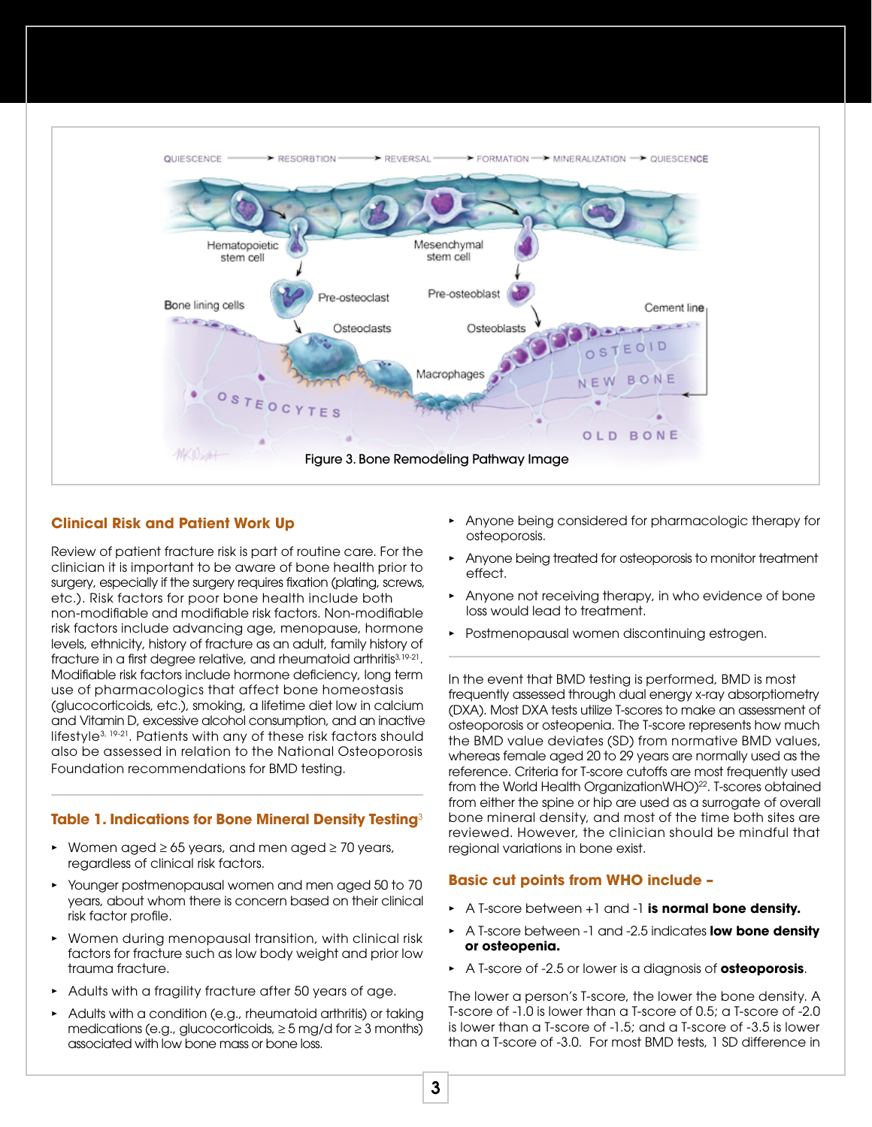

#### **Clinical Risk and Patient Work Up**

Review of patient fracture risk is part of routine care. For the clinician it is important to be aware of bone health prior to surgery, especially if the surgery requires fixation (plating, screws, etc.). Risk factors for poor bone health include both non-modifiable and modifiable risk factors. Non-modifiable risk factors include advancing age, menopause, hormone levels, ethnicity, history of fracture as an adult, family history of fracture in a first degree relative, and rheumatoid arthritis<sup>3,19-21</sup>. Modifiable risk factors include hormone deficiency, long term use of pharmacologics that affect bone homeostasis (glucocorticoids, etc.), smoking, a lifetime diet low in calcium and Vitamin D, excessive alcohol consumption, and an inactive lifestyle3, 19-21. Patients with any of these risk factors should also be assessed in relation to the National Osteoporosis Foundation recommendations for BMD testing.

#### **Table 1. Indications for Bone Mineral Density Testing**<sup>3</sup>

- *•* Women aged ≥ 65 years, and men aged ≥ 70 years, regardless of clinical risk factors.
- *•* Younger postmenopausal women and men aged 50 to 70 years, about whom there is concern based on their clinical risk factor profile.
- *•* Women during menopausal transition, with clinical risk factors for fracture such as low body weight and prior low trauma fracture.
- *•* Adults with a fragility fracture after 50 years of age.
- *•* Adults with a condition (e.g., rheumatoid arthritis) or taking medications (e.g., glucocorticoids,  $\geq$  5 mg/d for  $\geq$  3 months) associated with low bone mass or bone loss.
- *•* Anyone being considered for pharmacologic therapy for osteoporosis.
- *•* Anyone being treated for osteoporosis to monitor treatment effect.
- *•* Anyone not receiving therapy, in who evidence of bone loss would lead to treatment.
- *•* Postmenopausal women discontinuing estrogen.

In the event that BMD testing is performed, BMD is most frequently assessed through dual energy x-ray absorptiometry (DXA). Most DXA tests utilize T-scores to make an assessment of osteoporosis or osteopenia. The T-score represents how much the BMD value deviates (SD) from normative BMD values, whereas female aged 20 to 29 years are normally used as the reference. Criteria for T-score cutoffs are most frequently used from the World Health OrganizationWHO)<sup>22</sup>. T-scores obtained from either the spine or hip are used as a surrogate of overall bone mineral density, and most of the time both sites are reviewed. However, the clinician should be mindful that regional variations in bone exist.

#### **Basic cut points from WHO include –**

- *•* A T-score between +1 and -1 **is normal bone density.**
- *•* A T-score between -1 and -2.5 indicates **low bone density or osteopenia.**
- *•* A T-score of -2.5 or lower is a diagnosis of **osteoporosis**.

The lower a person's T-score, the lower the bone density. A T-score of -1.0 is lower than a T-score of 0.5; a T-score of -2.0 is lower than a T-score of -1.5; and a T-score of -3.5 is lower than a T-score of -3.0. For most BMD tests, 1 SD difference in